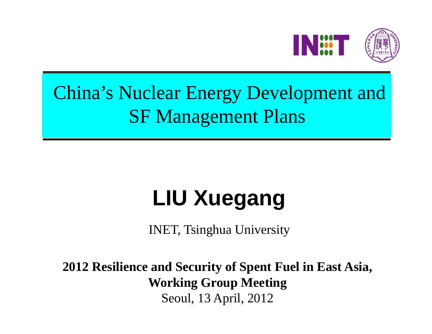

# China's Nuclear Energy Development and SF Management Plans

# **LIU Xuegang**

INET, Tsinghua University

**2012 Resilience and Security of Spent Fuel in East Asia, Working Group Meeting** Seoul, 13 April, 2012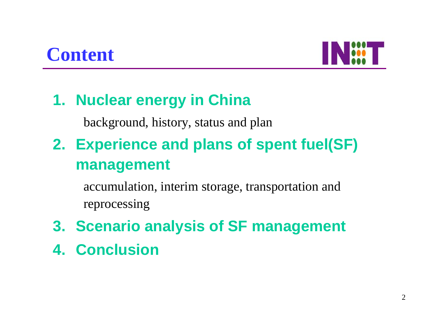

### **1. Nuclear energy in China**

background, history, status and plan

**2. Experience and plans of spent fuel(SF) management**

accumulation, interim storage, transportation and reprocessing

- **3. Scenario analysis of SF management**
- **4. Conclusion**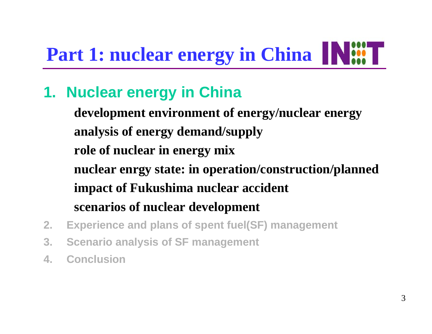# Part 1: nuclear energy in China **IN:57**

### **1. Nuclear energy in China**

**development environment of energy/nuclear energy analysis of energy demand/supply role of nuclear in energy mix nuclear enrgy state: in operation/construction/planned impact of Fukushima nuclear accident scenarios of nuclear development**

- **2. Experience and plans of spent fuel(SF) management**
- **3. Scenario analysis of SF management**
- **4. Conclusion**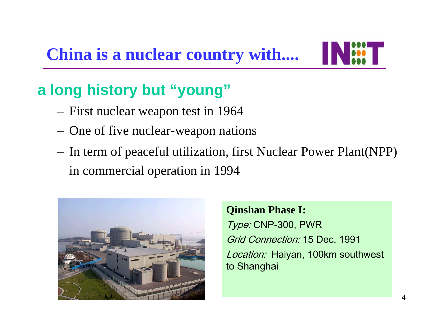

### **a long history but "young"**

- –First nuclear weapon test in 1964
- –One of five nuclear-weapon nations
- – In term of peaceful utilization, first Nuclear Power Plant(NPP) in commercial operation in 1994



**Qinshan Phase I:** Type: CNP-300, PWR Grid Connection: 15 Dec. 1991Location: Haiyan, 100km southwest to Shanghai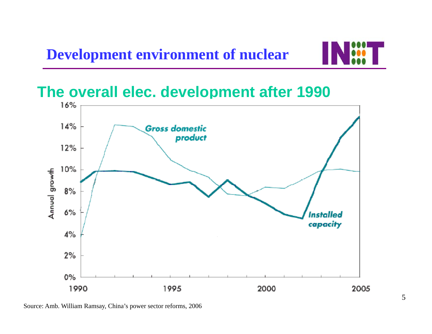

#### **The overall elec. development after 1990**

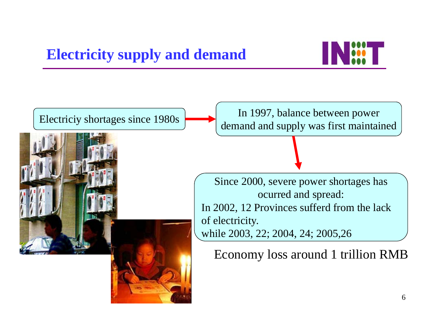

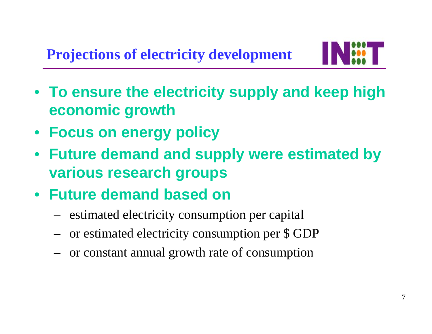

- **To ensure the electricity supply and keep high economic growth**
- **Focus on energy policy**
- $\bullet$  **Future demand and supply were estimated by various research groups**
- **Future demand based on**
	- estimated electricity consumption per capital
	- or estimated electricity consumption per \$ GDP
	- or constant annual growth rate of consumption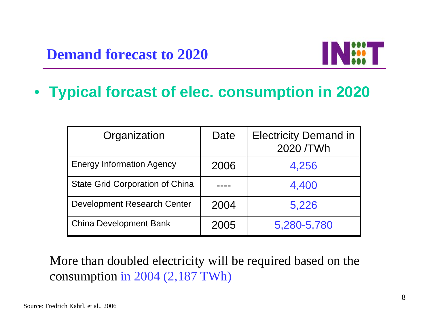

• **Typical forcast of elec. consumption in 2020**

| Organization                           | Date | <b>Electricity Demand in</b><br>2020 /TWh |
|----------------------------------------|------|-------------------------------------------|
| <b>Energy Information Agency</b>       | 2006 | 4,256                                     |
| <b>State Grid Corporation of China</b> |      | 4,400                                     |
| <b>Development Research Center</b>     | 2004 | 5,226                                     |
| <b>China Development Bank</b>          | 2005 | 5,280-5,780                               |

More than doubled electricity will be required based on the consumption in 2004 (2,187 TWh)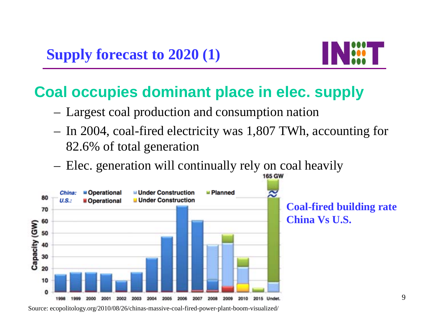

#### **Coal occupies dominant place in elec. supply**

- Largest coal production and consumption nation
- In 2004, coal-fired electricity was 1,807 TWh, accounting for 82.6% of total generation
- Elec. generation will continually rely on coal heavily **165 GW**



Source: ecopolitology.org/2010/08/26/chinas-massive-coal-fired-power-plant-boom-visualized/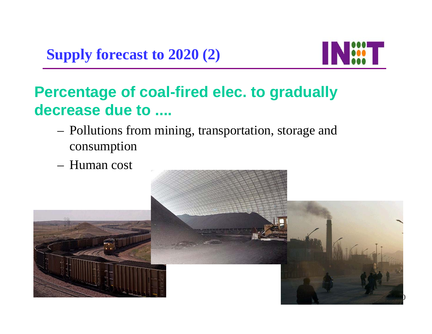

#### **Percentage of coal-fired elec. to gradually decrease due to ....**

- Pollutions from mining, transportation, storage and consumption
- Human cost

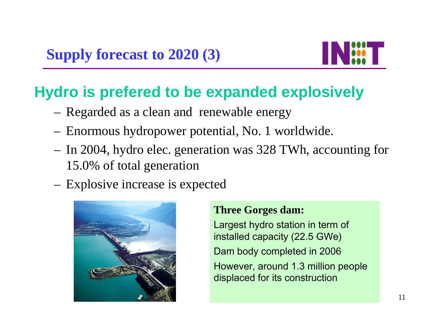

#### **Hydro is prefered to be expanded explosively**

- Regarded as a clean and renewable energy
- Enormous hydropower potential, No. 1 worldwide.
- In 2004, hydro elec. generation was 328 TWh, accounting for 15.0% of total generation
- Explosive increase is expected



#### **Three Gorges dam:**

Largest hydro station in term of installed capacity (22.5 GWe) Dam body completed in 2006 However, around 1.3 million people displaced for its construction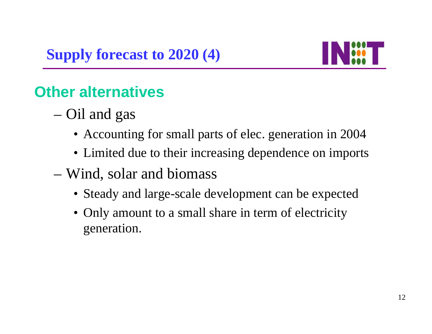

#### **Other alternatives**

- – Oil and gas
	- Accounting for small parts of elec. generation in 2004
	- Limited due to their increasing dependence on imports
- – Wind, solar and biomass
	- Steady and large-scale development can be expected
	- Only amount to a small share in term of electricity generation.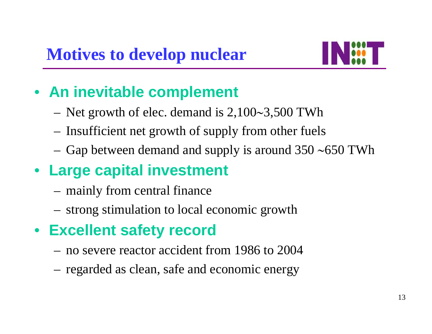

#### • **An inevitable complement**

- Net growth of elec. demand is 2,100 <sup>∼</sup>3,500 TWh
- Insufficient net growth of supply from other fuels
- Gap between demand and supply is around 350 ∼650 TWh

### • **Large capital investment**

- mainly from central finance
- strong stimulation to local economic growth

### • **Excellent safety record**

- no severe reactor accident from 1986 to 2004
- regarded as clean, safe and economic energy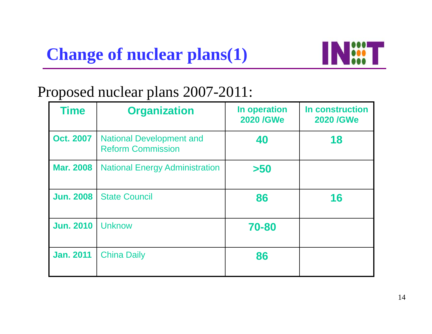

#### Proposed nuclear plans 2007-2011:

| <b>Time</b>      | <b>Organization</b>                                         | In operation<br><b>2020 /GWe</b> | In construction<br><b>2020 /GWe</b> |
|------------------|-------------------------------------------------------------|----------------------------------|-------------------------------------|
| <b>Oct. 2007</b> | <b>National Development and</b><br><b>Reform Commission</b> | 40                               | 18                                  |
| <b>Mar. 2008</b> | <b>National Energy Administration</b>                       | >50                              |                                     |
| <b>Jun. 2008</b> | <b>State Council</b>                                        | 86                               | 16                                  |
| <b>Jun. 2010</b> | <b>Unknow</b>                                               | 70-80                            |                                     |
| <b>Jan. 2011</b> | <b>China Daily</b>                                          | 86                               |                                     |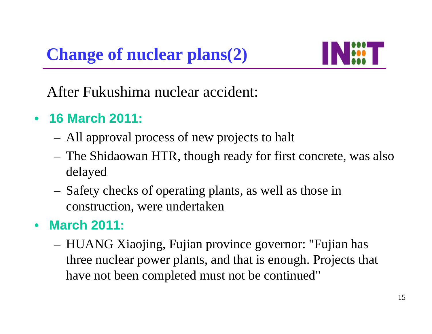

After Fukushima nuclear accident:

- **16 March 2011:**
	- All approval process of new projects to halt
	- The Shidaowan HTR, though ready for first concrete, was also delayed
	- Safety checks of operating plants, as well as those in construction, were undertaken
- $\bullet$  **March 2011:**
	- HUANG Xiaojing, Fujian province governor: "Fujian has three nuclear power plants, and that is enough. Projects that have not been completed must not be continued"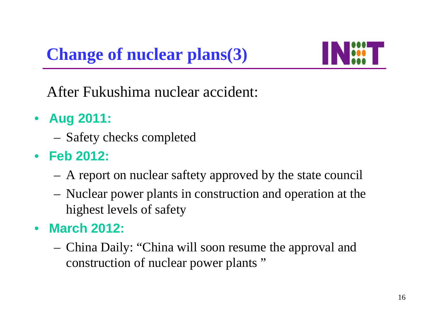**Change of nuclear plans(3)**



After Fukushima nuclear accident:

- **Aug 2011:**
	- Safety checks completed
- **Feb 2012:**
	- A report on nuclear saftety approved by the state council
	- Nuclear power plants in construction and operation at the highest levels of safety
- • **March 2012:**
	- China Daily: "China will soon resume the approval and construction of nuclear power plants"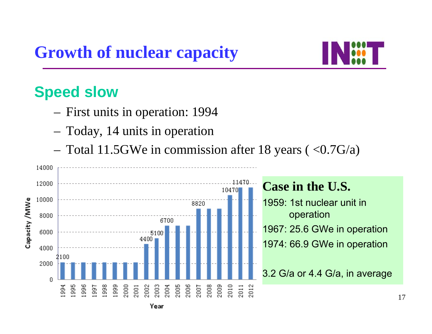### **Growth of nuclear capacity**



#### **Speed slow**

- First units in operation: 1994
- Today, 14 units in operation
- Total 11.5GWe in commission after 18 years (  $<$  0.7G/a)

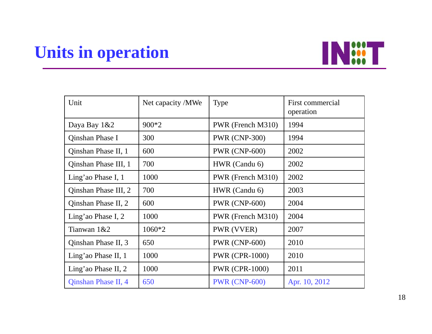### **Units in operation**



| Unit                 | Net capacity /MWe | <b>Type</b>           | First commercial<br>operation |
|----------------------|-------------------|-----------------------|-------------------------------|
| Daya Bay 1&2         | 900*2             | PWR (French M310)     | 1994                          |
| Qinshan Phase I      | 300               | <b>PWR (CNP-300)</b>  | 1994                          |
| Qinshan Phase II, 1  | 600               | <b>PWR (CNP-600)</b>  | 2002                          |
| Qinshan Phase III, 1 | 700               | HWR (Candu 6)         | 2002                          |
| Ling'ao Phase I, 1   | 1000              | PWR (French M310)     | 2002                          |
| Qinshan Phase III, 2 | 700               | HWR (Candu 6)         | 2003                          |
| Qinshan Phase II, 2  | 600               | <b>PWR (CNP-600)</b>  | 2004                          |
| Ling'ao Phase I, 2   | 1000              | PWR (French M310)     | 2004                          |
| Tianwan 1&2          | 1060*2            | PWR (VVER)            | 2007                          |
| Qinshan Phase II, 3  | 650               | <b>PWR (CNP-600)</b>  | 2010                          |
| Ling'ao Phase II, 1  | 1000              | <b>PWR (CPR-1000)</b> | 2010                          |
| Ling'ao Phase II, 2  | 1000              | <b>PWR (CPR-1000)</b> | 2011                          |
| Qinshan Phase II, 4  | 650               | <b>PWR (CNP-600)</b>  | Apr. 10, 2012                 |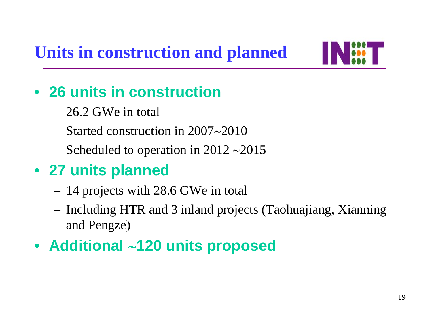### **Units in construction and planned**



#### • **26 units in construction**

- 26.2 GWe in total
- Started construction in 2007∼2010
- Scheduled to operation in 2012 ∼2015

#### • **27 units planned**

- 14 projects with 28.6 GWe in total
- Including HTR and 3 inland projects (Taohuajiang, Xianning and Pengze)
- **Additional**  ∼**120 units proposed**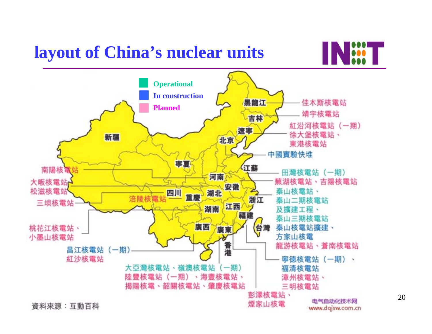#### **layout of China's nuclear units**





20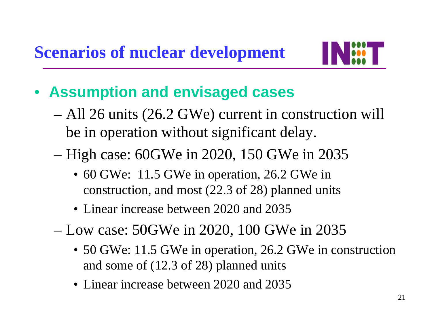

- **Assumption and envisaged cases**
	- – All 26 units (26.2 GWe) current in construction will be in operation without significant delay.
	- – High case: 60GWe in 2020, 150 GWe in 2035
		- 60 GWe: 11.5 GWe in operation, 26.2 GWe in construction, and most (22.3 of 28) planned units
		- Linear increase between 2020 and 2035
	- – Low case: 50GWe in 2020, 100 GWe in 2035
		- 50 GWe: 11.5 GWe in operation, 26.2 GWe in construction and some of (12.3 of 28) planned units
		- Linear increase between 2020 and 2035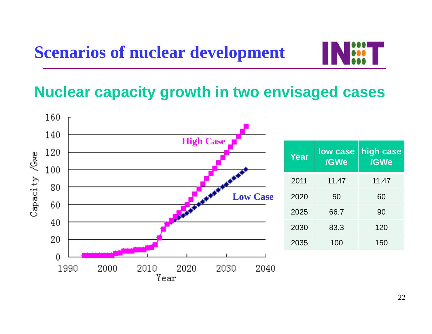

#### **Nuclear capacity growth in two envisaged cases**

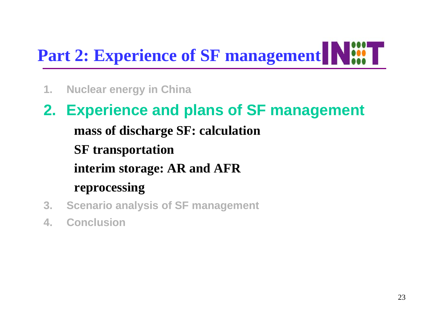# **Part 2: Experience of SF management**

- **1. Nuclear energy in China**
- **2. Experience and plans of SF management mass of discharge SF: calculation SF transportation interim storage: AR and AFR reprocessing**
- **3. Scenario analysis of SF management**
- **4. Conclusion**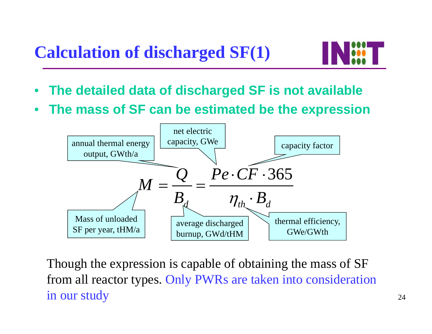**Calculation of discharged SF(1)**



- •**The detailed data of discharged SF is not available**
- •**The mass of SF can be estimated be the expression**



Though the expression is capable of obtaining the mass of SF from all reactor types. Only PWRs are taken into consideration in our study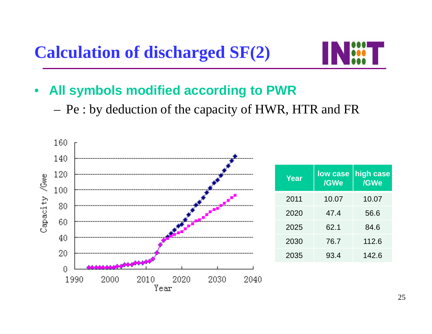**Calculation of discharged SF(2)**



- • **All symbols modified according to PWR**
	- Pe : by deduction of the capacity of HWR, HTR and FR

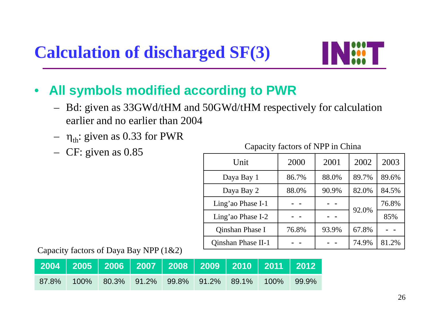**Calculation of discharged SF(3)**



#### •**All symbols modified according to PWR**

- Bd: given as 33GWd/tHM and 50GWd/tHM respectively for calculation earlier and no earlier than 2004
- $\eta_{\text{th}}$ : given as 0.33 for PWR
- CF: given as 0.85

| Unit                      | 2000  | 2001  | 2002  | 2003  |
|---------------------------|-------|-------|-------|-------|
| Daya Bay 1                | 86.7% | 88.0% | 89.7% | 89.6% |
| Daya Bay 2                | 88.0% | 90.9% | 82.0% | 84.5% |
| Ling'ao Phase I-1         |       |       | 92.0% | 76.8% |
| Ling'ao Phase I-2         |       |       |       | 85%   |
| Qinshan Phase I           | 76.8% | 93.9% | 67.8% |       |
| <b>Qinshan Phase II-1</b> |       |       | 74.9% | 81.2% |

Capacity factors of Daya Bay NPP (1&2)

|  |  |  | 87.8%  100%  80.3%  91.2%  99.8%  91.2%  89.1%  100%  99.9% |  |
|--|--|--|-------------------------------------------------------------|--|

Capacity factors of NPP in China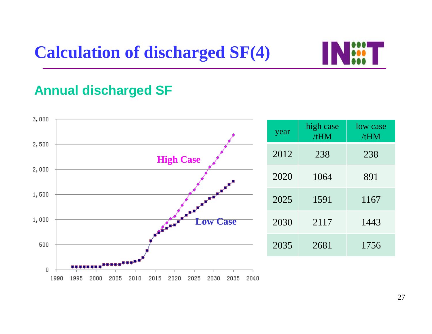### **Calculation of discharged SF(4)**



#### **Annual discharged SF**

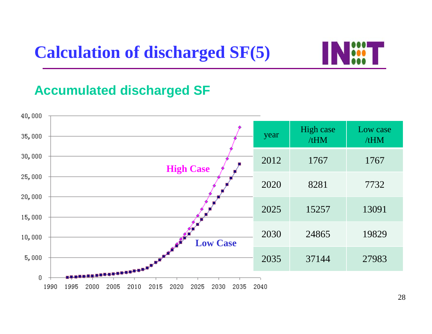### **Calculation of discharged SF(5)**



#### **Accumulated discharged SF**

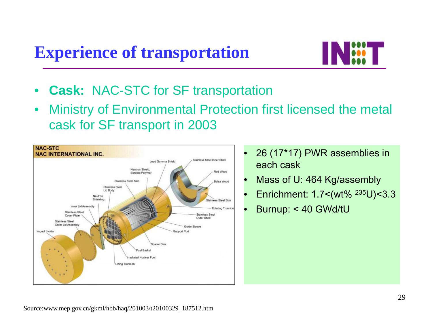### **Experience of transportation**



- •**Cask:** NAC-STC for SF transportation
- $\bullet$  Ministry of Environmental Protection first licensed the metal cask for SF transport in 2003



- • 26 (17\*17) PWR assemblies in each cask
- •Mass of U: 464 Kg/assembly
- •Enrichment: 1.7<(wt% 235U)<3.3
- •Burnup: < 40 GWd/tU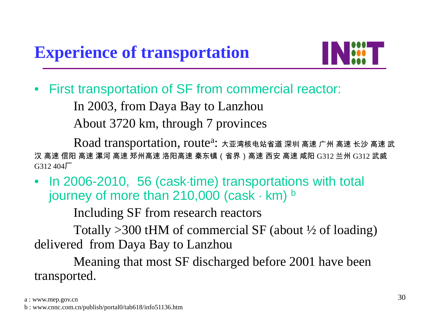

•First transportation of SF from commercial reactor:

In 2003, from Daya Bay to Lanzhou

About 3720 km, through 7 provinces

 $\rm Road$   ${\rm transportation}$ ,  ${\rm route^a}$ : 大亚湾核电站省道 深圳 高速 广州 高速 长沙 高速 武 汉 高速 信阳 高速 漯河 高速 郑州高速 洛阳高速 秦东镇(省界)高速 西安 高速 咸阳 G312 兰州 G312 武威  $G312\,404\sqrt{ }$ 

• In 2006-2010, 56 (cask⋅time) transportations with total journey of more than 210,000 (cask ⋅ km) <sup>b</sup>

Including SF from research reactors

Totally  $>300$  tHM of commercial SF (about  $\frac{1}{2}$  of loading) delivered from Daya Bay to Lanzhou

Meaning that most SF discharged before 2001 have been transported.

a : www.mep.gov.cn

b : www.cnnc.com.cn/publish/portal0/tab618/info51136.htm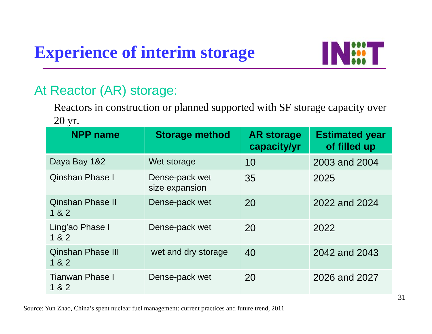

#### At Reactor (AR) storage:

Reactors in construction or planned supported with SF storage capacity over 20 yr.

| <b>NPP name</b>                   | <b>Storage method</b>            | <b>AR storage</b><br>capacity/yr | <b>Estimated year</b><br>of filled up |
|-----------------------------------|----------------------------------|----------------------------------|---------------------------------------|
| Daya Bay 1&2                      | Wet storage                      | 10                               | 2003 and 2004                         |
| <b>Qinshan Phase I</b>            | Dense-pack wet<br>size expansion | 35                               | 2025                                  |
| <b>Qinshan Phase II</b><br>1 & 2  | Dense-pack wet                   | 20                               | 2022 and 2024                         |
| Ling'ao Phase I<br>1 & 2          | Dense-pack wet                   | 20                               | 2022                                  |
| <b>Qinshan Phase III</b><br>1 & 2 | wet and dry storage              | 40                               | 2042 and 2043                         |
| <b>Tianwan Phase I</b><br>1 & 2   | Dense-pack wet                   | 20                               | 2026 and 2027                         |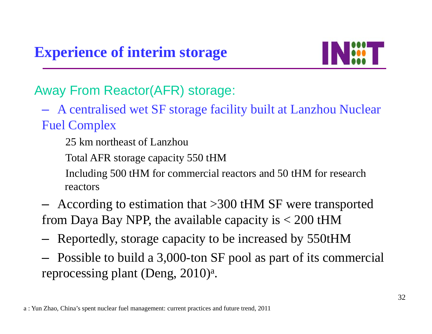

Away From Reactor(AFR) storage:

– A centralised wet SF storage facility built at Lanzhou Nuclear Fuel Complex

25 km northeast of Lanzhou

Total AFR storage capacity 550 tHM

Including 500 tHM for commercial reactors and 50 tHM for research reactors

– According to estimation that >300 tHM SF were transported from Daya Bay NPP, the available capacity is  $< 200$  tHM

- –Reportedly, storage capacity to be increased by 550tHM
- –- Possible to build a 3,000-ton SF pool as part of its commercial reprocessing plant (Deng, 2010) a .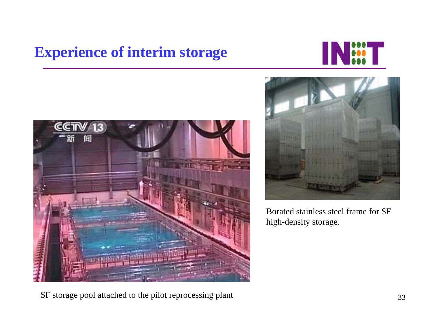#### **Experience of interim storage**





SF storage pool attached to the pilot reprocessing plant



Borated stainless steel frame for SF high-density storage.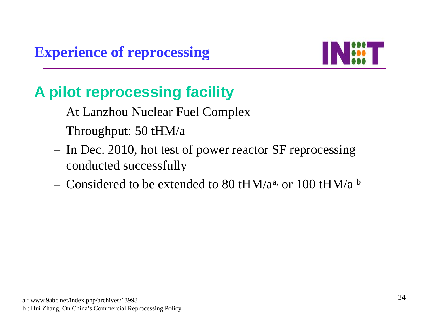

### **A pilot reprocessing facility**

- At Lanzhou Nuclear Fuel Complex
- Throughput: 50 tHM/a
- In Dec. 2010, hot test of power reactor SF reprocessing conducted successfully
- $-$  Considered to be extended to 80 tHM/a<sup>a,</sup> or 100 tHM/a  $\rm ^b$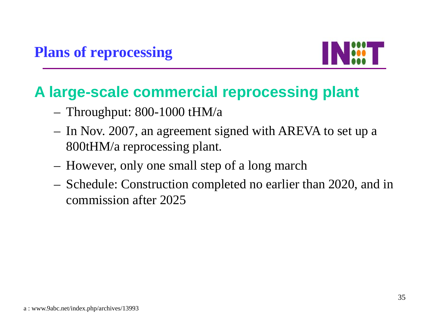

#### **A large-scale commercial reprocessing plant**

- Throughput: 800-1000 tHM/a
- In Nov. 2007, an agreement signed with AREVA to set up a 800tHM/a reprocessing plant.
- However, only one small step of a long march
- Schedule: Construction completed no earlier than 2020, and in commission after 2025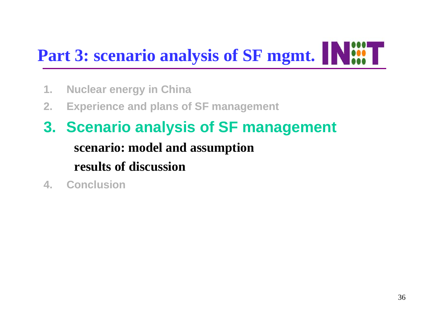# Part 3: scenario analysis of SF mgmt. Nin

- **1. Nuclear energy in China**
- **2. Experience and plans of SF management**
- **3. Scenario analysis of SF management scenario: model and assumption results of discussion**
- **4. Conclusion**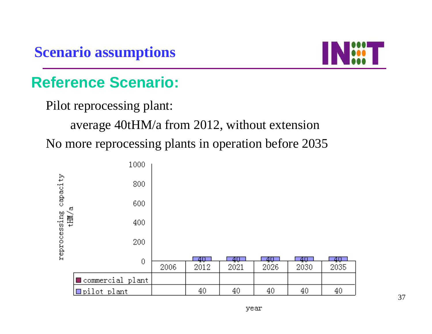

#### **Reference Scenario:**

Pilot reprocessing plant:

average 40tHM/a from 2012, without extension

No more reprocessing plants in operation before 2035



37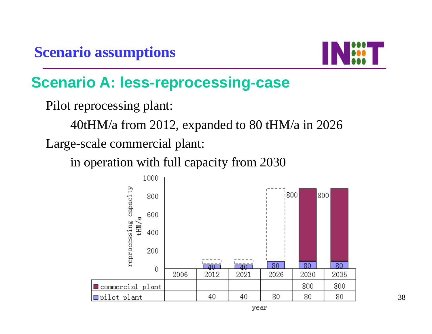

#### **Scenario A: less-reprocessing-case**

Pilot reprocessing plant:

40tHM/a from 2012, expanded to 80 tHM/a in 2026

Large-scale commercial plant:

in operation with full capacity from 2030

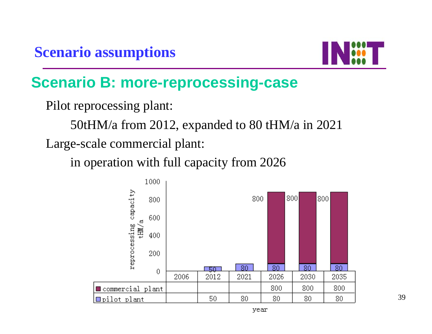

#### **Scenario B: more-reprocessing-case**

Pilot reprocessing plant:

50tHM/a from 2012, expanded to 80 tHM/a in 2021

Large-scale commercial plant:

in operation with full capacity from 2026



39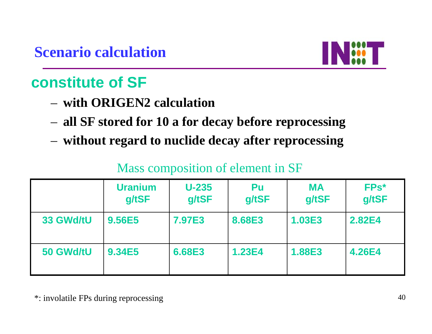

#### **constitute of SF**

- **with ORIGEN2 calculation**
- **all SF stored for 10 a for decay before reprocessing**
- **without regard to nuclide decay after reprocessing**

| Mass composition of element in SF |  |
|-----------------------------------|--|
|-----------------------------------|--|

|           | <b>Uranium</b><br>g/tSF | $U-235$<br>g/tSF | Pu<br>g/tSF | <b>MA</b><br>g/tSF | FPs*<br>g/tSF |
|-----------|-------------------------|------------------|-------------|--------------------|---------------|
| 33 GWd/tU | 9.56E5                  | <b>7.97E3</b>    | 8.68E3      | <b>1.03E3</b>      | 2.82E4        |
| 50 GWd/tU | <b>9.34E5</b>           | 6.68E3           | 1.23E4      | <b>1.88E3</b>      | 4.26E4        |

\*: involatile FPs during reprocessing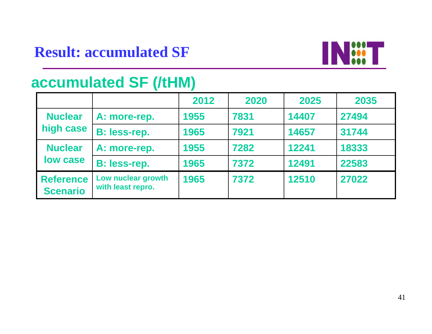#### **Result: accumulated SF**



#### **accumulated SF (/tHM)**

|                                     |                                         | 2012 | 2020 | 2025  | 2035  |
|-------------------------------------|-----------------------------------------|------|------|-------|-------|
| <b>Nuclear</b>                      | A: more-rep.                            | 1955 | 7831 | 14407 | 27494 |
| high case                           | <b>B:</b> less-rep.                     | 1965 | 7921 | 14657 | 31744 |
| <b>Nuclear</b>                      | A: more-rep.                            | 1955 | 7282 | 12241 | 18333 |
| low case                            | <b>B:</b> less-rep.                     | 1965 | 7372 | 12491 | 22583 |
| <b>Reference</b><br><b>Scenario</b> | Low nuclear growth<br>with least repro. | 1965 | 7372 | 12510 | 27022 |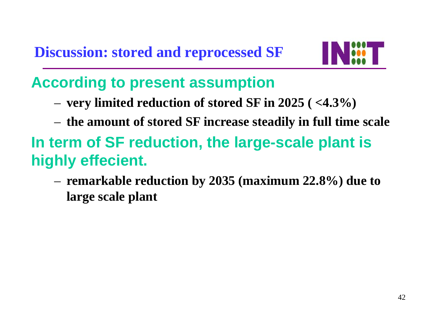

#### **According to present assumption**

- –**very limited reduction of stored SF in 2025 ( <4.3%)**
- –**the amount of stored SF increase steadily in full time scale**

### **In term of SF reduction, the large-scale plant is highly effecient.**

– **remarkable reduction by 2035 (maximum 22.8%) due to large scale plant**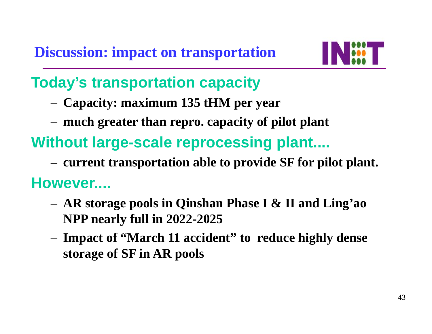

#### **Today's transportation capacity**

- **Capacity: maximum 135 tHM per year**
- **much greater than repro. capacity of pilot plant**

### **Without large-scale reprocessing plant....**

**current transportation able to provide SF for pilot plant.**

#### **However....**

- **AR storage pools in Qinshan Phase I & II and Ling'ao NPP nearly full in 2022-2025**
- **Impact of "March 11 accident" to reduce highly dense storage of SF in AR pools**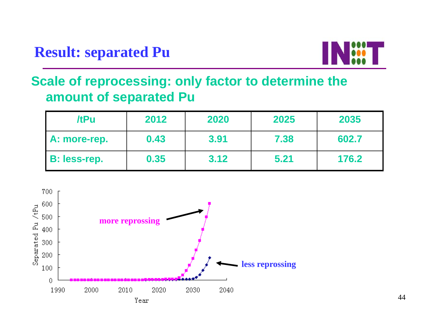#### **Result: separated Pu**



#### **Scale of reprocessing: only factor to determine the amount of separated Pu**

| /tPu                | 2012 | 2020 | 2025 | 2035  |
|---------------------|------|------|------|-------|
| <b>A: more-rep.</b> | 0.43 | 3.91 | 7.38 | 602.7 |
| <b>B: less-rep.</b> | 0.35 | 3.12 | 5.21 | 176.2 |

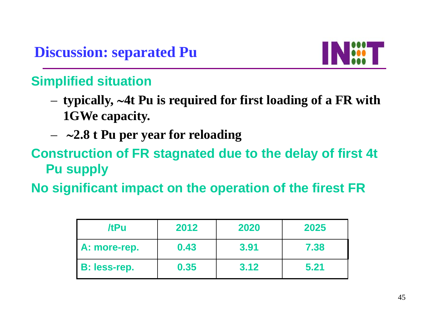

#### **Simplified situation**

- **typically,**  <sup>∼</sup>**4t Pu is required for first loading of a FR with 1GWe capacity.**
- <sup>∼</sup>**2.8 t Pu per year for reloading**
- **Construction of FR stagnated due to the delay of first 4t Pu supply**
- **No significant impact on the operation of the firest FR**

| /tPu                | 2012 | 2020 | 2025 |
|---------------------|------|------|------|
| A: more-rep.        | 0.43 | 3.91 | 7.38 |
| <b>B:</b> less-rep. | 0.35 | 3.12 | 5.21 |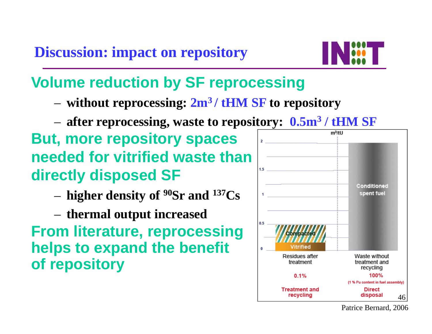

#### **Volume reduction by SF reprocessing**

- –**without reprocessing: 2m3 / tHM SF to repository**
- –**after reprocessing, waste to repository: 0.5m 3 / tHM SF**

**But, more repository spaces needed for vitrified waste thandirectly disposed SF**

- –**higher density of 90Sr and 137Cs**
- – **thermal output increased From literature, reprocessing helps to expand the benefit of repository**



Patrice Bernard, 2006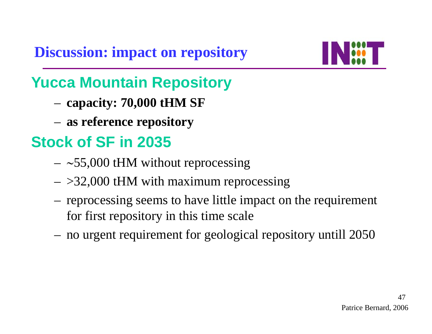**Discussion: impact on repository**



#### **Yucca Mountain Repository**

- –**capacity: 70,000 tHM SF**
- –**as reference repository**

### **Stock of SF in 2035**

- <sup>∼</sup>55,000 tHM without reprocessing
- –>32,000 tHM with maximum reprocessing
- – reprocessing seems to have little impact on the requirement for first repository in this time scale
- –no urgent requirement for geological repository untill 2050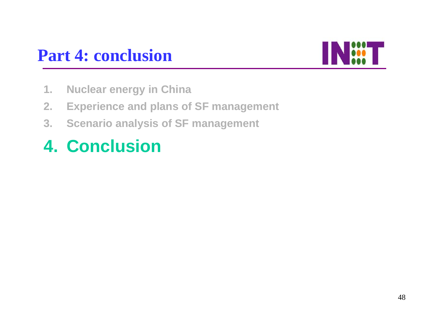

- **1. Nuclear energy in China**
- **2. Experience and plans of SF management**
- **3. Scenario analysis of SF management**

## **4. Conclusion**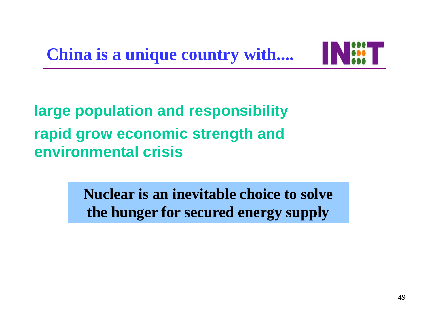

**large population and responsibility rapid grow economic strength and environmental crisis**

> **Nuclear is an inevitable choice to solve the hunger for secured energy supply**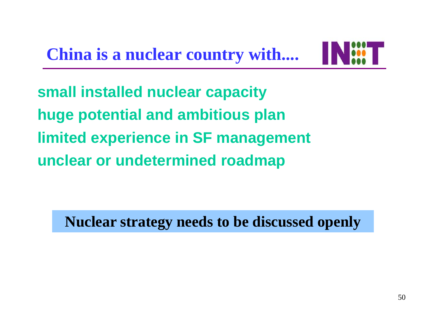

**small installed nuclear capacity huge potential and ambitious plan limited experience in SF management unclear or undetermined roadmap**

**Nuclear strategy needs to be discussed openly**